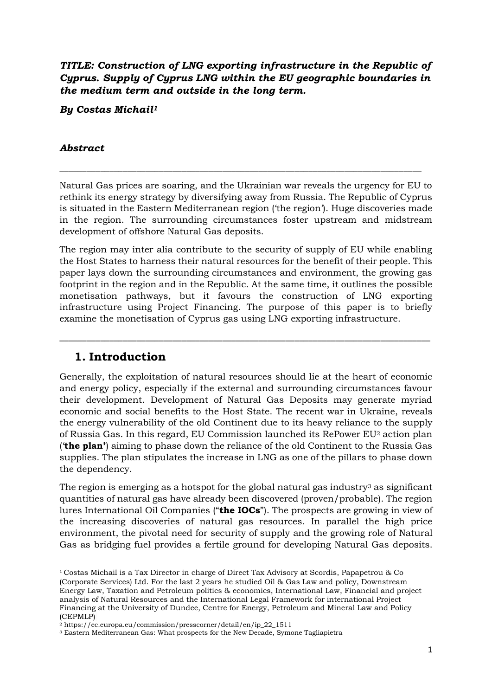*TITLE: Construction of LNG exporting infrastructure in the Republic of Cyprus. Supply of Cyprus LNG within the EU geographic boundaries in the medium term and outside in the long term.*

*By Costas Michail<sup>1</sup>*

#### *Abstract*

Natural Gas prices are soaring, and the Ukrainian war reveals the urgency for EU to rethink its energy strategy by diversifying away from Russia. The Republic of Cyprus is situated in the Eastern Mediterranean region ('the region'). Huge discoveries made in the region. The surrounding circumstances foster upstream and midstream development of offshore Natural Gas deposits.

\_\_\_\_\_\_\_\_\_\_\_\_\_\_\_\_\_\_\_\_\_\_\_\_\_\_\_\_\_\_\_\_\_\_\_\_\_\_\_\_\_\_\_\_\_\_\_\_\_\_\_\_\_\_\_\_\_\_\_\_\_\_\_\_\_\_\_\_\_\_\_\_\_\_\_\_\_\_\_\_

The region may inter alia contribute to the security of supply of EU while enabling the Host States to harness their natural resources for the benefit of their people. This paper lays down the surrounding circumstances and environment, the growing gas footprint in the region and in the Republic. At the same time, it outlines the possible monetisation pathways, but it favours the construction of LNG exporting infrastructure using Project Financing. The purpose of this paper is to briefly examine the monetisation of Cyprus gas using LNG exporting infrastructure.

\_\_\_\_\_\_\_\_\_\_\_\_\_\_\_\_\_\_\_\_\_\_\_\_\_\_\_\_\_\_\_\_\_\_\_\_\_\_\_\_\_\_\_\_\_\_\_\_\_\_\_\_\_\_\_\_\_\_\_\_\_\_\_\_\_\_\_\_\_\_\_\_\_\_\_\_\_\_\_\_\_\_

### **1. Introduction**

Generally, the exploitation of natural resources should lie at the heart of economic and energy policy, especially if the external and surrounding circumstances favour their development. Development of Natural Gas Deposits may generate myriad economic and social benefits to the Host State. The recent war in Ukraine, reveals the energy vulnerability of the old Continent due to its heavy reliance to the supply of Russia Gas. In this regard, EU Commission launched its RePower EU<sup>2</sup> action plan ('**the plan'**) aiming to phase down the reliance of the old Continent to the Russia Gas supplies. The plan stipulates the increase in LNG as one of the pillars to phase down the dependency.

The region is emerging as a hotspot for the global natural gas industry<sup>3</sup> as significant quantities of natural gas have already been discovered (proven/probable). The region lures International Oil Companies ("**the IOCs**"). The prospects are growing in view of the increasing discoveries of natural gas resources. In parallel the high price environment, the pivotal need for security of supply and the growing role of Natural Gas as bridging fuel provides a fertile ground for developing Natural Gas deposits.

<sup>1</sup> Costas Michail is a Tax Director in charge of Direct Tax Advisory at Scordis, Papapetrou & Co (Corporate Services) Ltd. For the last 2 years he studied Oil & Gas Law and policy, Downstream Energy Law, Taxation and Petroleum politics & economics, International Law, Financial and project analysis of Natural Resources and the International Legal Framework for international Project Financing at the University of Dundee, Centre for Energy, Petroleum and Mineral Law and Policy (CEPMLP)

<sup>2</sup> https://ec.europa.eu/commission/presscorner/detail/en/ip\_22\_1511

<sup>3</sup> Eastern Mediterranean Gas: What prospects for the New Decade, Symone Tagliapietra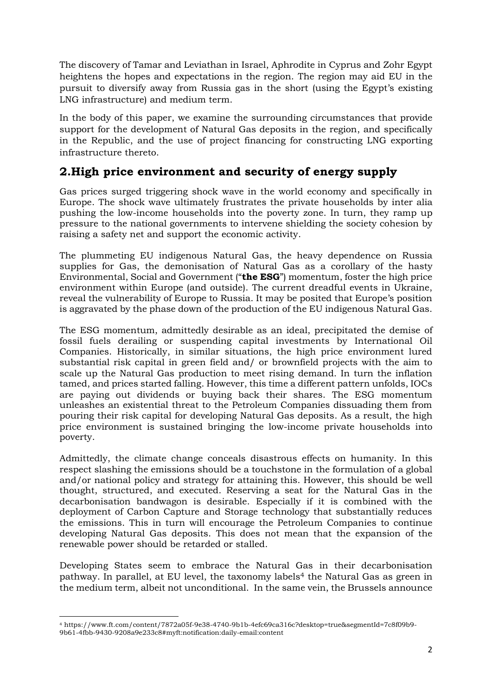The discovery of Tamar and Leviathan in Israel, Aphrodite in Cyprus and Zohr Egypt heightens the hopes and expectations in the region. The region may aid EU in the pursuit to diversify away from Russia gas in the short (using the Egypt's existing LNG infrastructure) and medium term.

In the body of this paper, we examine the surrounding circumstances that provide support for the development of Natural Gas deposits in the region, and specifically in the Republic, and the use of project financing for constructing LNG exporting infrastructure thereto.

# **2.High price environment and security of energy supply**

Gas prices surged triggering shock wave in the world economy and specifically in Europe. The shock wave ultimately frustrates the private households by inter alia pushing the low-income households into the poverty zone. In turn, they ramp up pressure to the national governments to intervene shielding the society cohesion by raising a safety net and support the economic activity.

The plummeting EU indigenous Natural Gas, the heavy dependence on Russia supplies for Gas, the demonisation of Natural Gas as a corollary of the hasty Environmental, Social and Government ("**the ESG**") momentum, foster the high price environment within Europe (and outside). The current dreadful events in Ukraine, reveal the vulnerability of Europe to Russia. It may be posited that Europe's position is aggravated by the phase down of the production of the EU indigenous Natural Gas.

The ESG momentum, admittedly desirable as an ideal, precipitated the demise of fossil fuels derailing or suspending capital investments by International Oil Companies. Historically, in similar situations, the high price environment lured substantial risk capital in green field and/ or brownfield projects with the aim to scale up the Natural Gas production to meet rising demand. In turn the inflation tamed, and prices started falling. However, this time a different pattern unfolds, IOCs are paying out dividends or buying back their shares. The ESG momentum unleashes an existential threat to the Petroleum Companies dissuading them from pouring their risk capital for developing Natural Gas deposits. As a result, the high price environment is sustained bringing the low-income private households into poverty.

Admittedly, the climate change conceals disastrous effects on humanity. In this respect slashing the emissions should be a touchstone in the formulation of a global and/or national policy and strategy for attaining this. However, this should be well thought, structured, and executed. Reserving a seat for the Natural Gas in the decarbonisation bandwagon is desirable. Especially if it is combined with the deployment of Carbon Capture and Storage technology that substantially reduces the emissions. This in turn will encourage the Petroleum Companies to continue developing Natural Gas deposits. This does not mean that the expansion of the renewable power should be retarded or stalled.

Developing States seem to embrace the Natural Gas in their decarbonisation pathway. In parallel, at EU level, the taxonomy labels<sup>4</sup> the Natural Gas as green in the medium term, albeit not unconditional. In the same vein, the Brussels announce

<sup>4</sup> https://www.ft.com/content/7872a05f-9e38-4740-9b1b-4efc69ca316c?desktop=true&segmentId=7c8f09b9- 9b61-4fbb-9430-9208a9e233c8#myft:notification:daily-email:content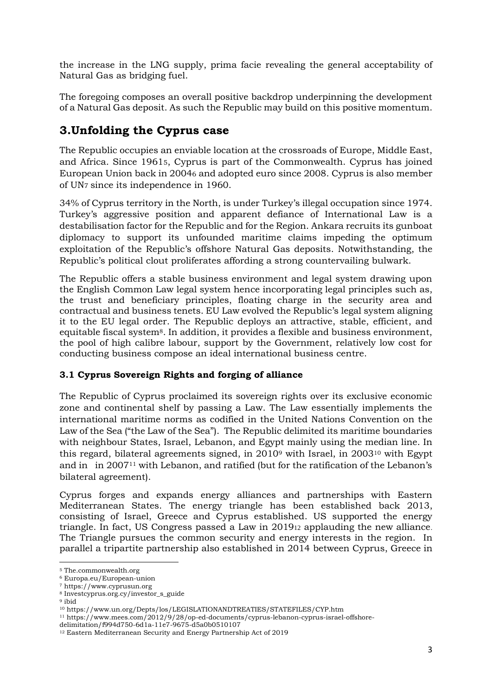the increase in the LNG supply, prima facie revealing the general acceptability of Natural Gas as bridging fuel.

The foregoing composes an overall positive backdrop underpinning the development of a Natural Gas deposit. As such the Republic may build on this positive momentum.

# **3.Unfolding the Cyprus case**

The Republic occupies an enviable location at the crossroads of Europe, Middle East, and Africa. Since 19615, Cyprus is part of the Commonwealth. Cyprus has joined European Union back in 20046 and adopted euro since 2008. Cyprus is also member of UN7 since its independence in 1960.

34% of Cyprus territory in the North, is under Turkey's illegal occupation since 1974. Turkey's aggressive position and apparent defiance of International Law is a destabilisation factor for the Republic and for the Region. Ankara recruits its gunboat diplomacy to support its unfounded maritime claims impeding the optimum exploitation of the Republic's offshore Natural Gas deposits. Notwithstanding, the Republic's political clout proliferates affording a strong countervailing bulwark.

The Republic offers a stable business environment and legal system drawing upon the English Common Law legal system hence incorporating legal principles such as, the trust and beneficiary principles, floating charge in the security area and contractual and business tenets. EU Law evolved the Republic's legal system aligning it to the EU legal order. The Republic deploys an attractive, stable, efficient, and equitable fiscal system8. In addition, it provides a flexible and business environment, the pool of high calibre labour, support by the Government, relatively low cost for conducting business compose an ideal international business centre.

#### **3.1 Cyprus Sovereign Rights and forging of alliance**

The Republic of Cyprus proclaimed its sovereign rights over its exclusive economic zone and continental shelf by passing a Law. The Law essentially implements the international maritime norms as codified in the United Nations Convention on the Law of the Sea ("the Law of the Sea"). The Republic delimited its maritime boundaries with neighbour States, Israel, Lebanon, and Egypt mainly using the median line. In this regard, bilateral agreements signed, in 2010<sup>9</sup> with Israel, in 2003<sup>10</sup> with Egypt and in in 2007<sup>11</sup> with Lebanon, and ratified (but for the ratification of the Lebanon's bilateral agreement).

Cyprus forges and expands energy alliances and partnerships with Eastern Mediterranean States. The energy triangle has been established back 2013, consisting of Israel, Greece and Cyprus established. US supported the energy triangle. In fact, US Congress passed a Law in 201912 applauding the new alliance. The Triangle pursues the common security and energy interests in the region. In parallel a tripartite partnership also established in 2014 between Cyprus, Greece in

<sup>5</sup> The.commonwealth.org

<sup>6</sup> Europa.eu/European-union

<sup>7</sup> https://www.cyprusun.org

<sup>8</sup> Investcyprus.org.cy/investor\_s\_guide

 $^{\rm 9}$ ibid

<sup>10</sup> https://www.un.org/Depts/los/LEGISLATIONANDTREATIES/STATEFILES/CYP.htm

<sup>11</sup> https://www.mees.com/2012/9/28/op-ed-documents/cyprus-lebanon-cyprus-israel-offshore-

delimitation/f994d750-6d1a-11e7-9675-d5a0b0510107

<sup>12</sup> Eastern Mediterranean Security and Energy Partnership Act of 2019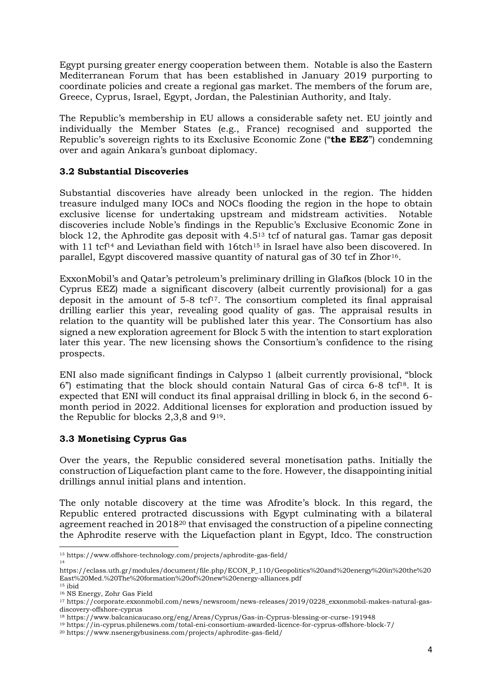Egypt pursing greater energy cooperation between them. Notable is also the Eastern Mediterranean Forum that has been established in January 2019 purporting to coordinate policies and create a regional gas market. The members of the forum are, Greece, Cyprus, Israel, Egypt, Jordan, the Palestinian Authority, and Italy.

The Republic's membership in EU allows a considerable safety net. EU jointly and individually the Member States (e.g., France) recognised and supported the Republic's sovereign rights to its Exclusive Economic Zone ("**the EEZ**") condemning over and again Ankara's gunboat diplomacy.

#### **3.2 Substantial Discoveries**

Substantial discoveries have already been unlocked in the region. The hidden treasure indulged many IOCs and NOCs flooding the region in the hope to obtain exclusive license for undertaking upstream and midstream activities. Notable discoveries include Noble's findings in the Republic's Exclusive Economic Zone in block 12, the Aphrodite gas deposit with 4.5<sup>13</sup> tcf of natural gas. Tamar gas deposit with 11 tcf<sup>14</sup> and Leviathan field with 16tch<sup>15</sup> in Israel have also been discovered. In parallel, Egypt discovered massive quantity of natural gas of 30 tcf in Zhor<sup>16</sup>.

ExxonMobil's and Qatar's petroleum's preliminary drilling in Glafkos (block 10 in the Cyprus EEZ) made a significant discovery (albeit currently provisional) for a gas deposit in the amount of  $5-8$  tcf<sup>17</sup>. The consortium completed its final appraisal drilling earlier this year, revealing good quality of gas. The appraisal results in relation to the quantity will be published later this year. The Consortium has also signed a new exploration agreement for Block 5 with the intention to start exploration later this year. The new licensing shows the Consortium's confidence to the rising prospects.

ENI also made significant findings in Calypso 1 (albeit currently provisional, "block  $6$ ") estimating that the block should contain Natural Gas of circa  $6$ -8 tcf<sup>18</sup>. It is expected that ENI will conduct its final appraisal drilling in block 6, in the second 6 month period in 2022. Additional licenses for exploration and production issued by the Republic for blocks 2,3,8 and 919.

#### **3.3 Monetising Cyprus Gas**

Over the years, the Republic considered several monetisation paths. Initially the construction of Liquefaction plant came to the fore. However, the disappointing initial drillings annul initial plans and intention.

The only notable discovery at the time was Afrodite's block. In this regard, the Republic entered protracted discussions with Egypt culminating with a bilateral agreement reached in 2018<sup>20</sup> that envisaged the construction of a pipeline connecting the Aphrodite reserve with the Liquefaction plant in Egypt, Idco. The construction

<sup>13</sup> https://www.offshore-technology.com/projects/aphrodite-gas-field/ 14

https://eclass.uth.gr/modules/document/file.php/ECON\_P\_110/Geopolitics%20and%20energy%20in%20the%20 East%20Med.%20The%20formation%20of%20new%20energy-alliances.pdf

 $15$  ibid

<sup>16</sup> NS Energy, Zohr Gas Field

<sup>17</sup> https://corporate.exxonmobil.com/news/newsroom/news-releases/2019/0228\_exxonmobil-makes-natural-gasdiscovery-offshore-cyprus

<sup>18</sup> https://www.balcanicaucaso.org/eng/Areas/Cyprus/Gas-in-Cyprus-blessing-or-curse-191948

<sup>19</sup> https://in-cyprus.philenews.com/total-eni-consortium-awarded-licence-for-cyprus-offshore-block-7/

<sup>20</sup> https://www.nsenergybusiness.com/projects/aphrodite-gas-field/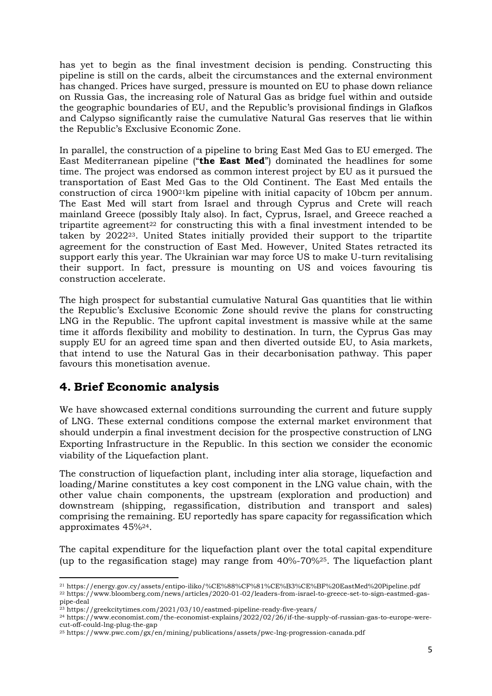has yet to begin as the final investment decision is pending. Constructing this pipeline is still on the cards, albeit the circumstances and the external environment has changed. Prices have surged, pressure is mounted on EU to phase down reliance on Russia Gas, the increasing role of Natural Gas as bridge fuel within and outside the geographic boundaries of EU, and the Republic's provisional findings in Glafkos and Calypso significantly raise the cumulative Natural Gas reserves that lie within the Republic's Exclusive Economic Zone.

In parallel, the construction of a pipeline to bring East Med Gas to EU emerged. The East Mediterranean pipeline ("**the East Med**") dominated the headlines for some time. The project was endorsed as common interest project by EU as it pursued the transportation of East Med Gas to the Old Continent. The East Med entails the construction of circa 190021km pipeline with initial capacity of 10bcm per annum. The East Med will start from Israel and through Cyprus and Crete will reach mainland Greece (possibly Italy also). In fact, Cyprus, Israel, and Greece reached a tripartite agreement<sup>22</sup> for constructing this with a final investment intended to be taken by 202223. United States initially provided their support to the tripartite agreement for the construction of East Med. However, United States retracted its support early this year. The Ukrainian war may force US to make U-turn revitalising their support. In fact, pressure is mounting on US and voices favouring tis construction accelerate.

The high prospect for substantial cumulative Natural Gas quantities that lie within the Republic's Exclusive Economic Zone should revive the plans for constructing LNG in the Republic. The upfront capital investment is massive while at the same time it affords flexibility and mobility to destination. In turn, the Cyprus Gas may supply EU for an agreed time span and then diverted outside EU, to Asia markets, that intend to use the Natural Gas in their decarbonisation pathway. This paper favours this monetisation avenue.

# **4. Brief Economic analysis**

We have showcased external conditions surrounding the current and future supply of LNG. These external conditions compose the external market environment that should underpin a final investment decision for the prospective construction of LNG Exporting Infrastructure in the Republic. In this section we consider the economic viability of the Liquefaction plant.

The construction of liquefaction plant, including inter alia storage, liquefaction and loading/Marine constitutes a key cost component in the LNG value chain, with the other value chain components, the upstream (exploration and production) and downstream (shipping, regassification, distribution and transport and sales) comprising the remaining. EU reportedly has spare capacity for regassification which approximates 45%24.

The capital expenditure for the liquefaction plant over the total capital expenditure (up to the regasification stage) may range from 40%-70%25. The liquefaction plant

<sup>21</sup> https://energy.gov.cy/assets/entipo-iliko/%CE%88%CF%81%CE%B3%CE%BF%20EastMed%20Pipeline.pdf <sup>22</sup> https://www.bloomberg.com/news/articles/2020-01-02/leaders-from-israel-to-greece-set-to-sign-eastmed-gaspipe-deal

<sup>23</sup> https://greekcitytimes.com/2021/03/10/eastmed-pipeline-ready-five-years/

<sup>24</sup> https://www.economist.com/the-economist-explains/2022/02/26/if-the-supply-of-russian-gas-to-europe-werecut-off-could-lng-plug-the-gap

<sup>25</sup> https://www.pwc.com/gx/en/mining/publications/assets/pwc-lng-progression-canada.pdf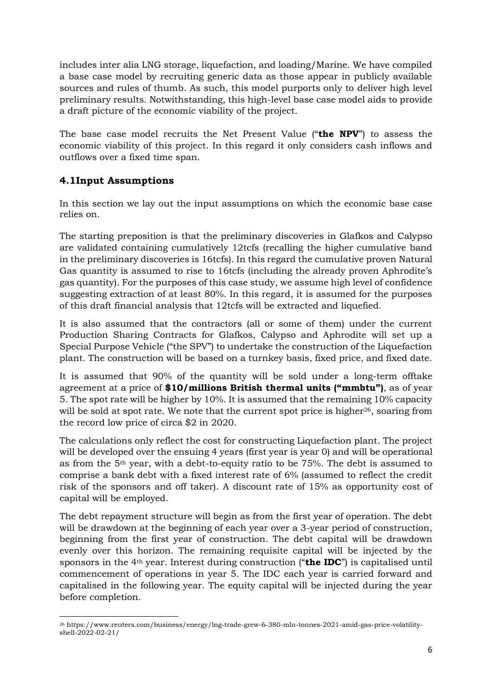includes inter alia LNG storage, liquefaction, and loading/Marine. We have compiled a base case model by recruiting generic data as those appear in publicly available sources and rules of thumb. As such, this model purports only to deliver high level preliminary results. Notwithstanding, this high-level base case model aids to provide a draft picture of the economic viability of the project.

The base case model recruits the Net Present Value ("**the NPV**") to assess the economic viability of this project. In this regard it only considers cash inflows and outflows over a fixed time span.

### **4.1Input Assumptions**

In this section we lay out the input assumptions on which the economic base case relies on.

The starting preposition is that the preliminary discoveries in Glafkos and Calypso are validated containing cumulatively 12tcfs (recalling the higher cumulative band in the preliminary discoveries is 16tcfs). In this regard the cumulative proven Natural Gas quantity is assumed to rise to 16tcfs (including the already proven Aphrodite's gas quantity). For the purposes of this case study, we assume high level of confidence suggesting extraction of at least 80%. In this regard, it is assumed for the purposes of this draft financial analysis that 12tcfs will be extracted and liquefied.

It is also assumed that the contractors (all or some of them) under the current Production Sharing Contracts for Glafkos, Calypso and Aphrodite will set up a Special Purpose Vehicle ("the SPV") to undertake the construction of the Liquefaction plant. The construction will be based on a turnkey basis, fixed price, and fixed date.

It is assumed that 90% of the quantity will be sold under a long-term offtake agreement at a price of **\$10/millions British thermal units ("mmbtu")**, as of year 5. The spot rate will be higher by 10%. It is assumed that the remaining 10% capacity will be sold at spot rate. We note that the current spot price is higher<sup>26</sup>, soaring from the record low price of circa \$2 in 2020.

The calculations only reflect the cost for constructing Liquefaction plant. The project will be developed over the ensuing 4 years (first year is year 0) and will be operational as from the 5th year, with a debt-to-equity ratio to be 75%. The debt is assumed to comprise a bank debt with a fixed interest rate of 6% (assumed to reflect the credit risk of the sponsors and off taker). A discount rate of 15% as opportunity cost of capital will be employed.

The debt repayment structure will begin as from the first year of operation. The debt will be drawdown at the beginning of each year over a 3-year period of construction, beginning from the first year of construction. The debt capital will be drawdown evenly over this horizon. The remaining requisite capital will be injected by the sponsors in the 4th year. Interest during construction ("**the IDC**") is capitalised until commencement of operations in year 5. The IDC each year is carried forward and capitalised in the following year. The equity capital will be injected during the year before completion.

<sup>26</sup> https://www.reuters.com/business/energy/lng-trade-grew-6-380-mln-tonnes-2021-amid-gas-price-volatilityshell-2022-02-21/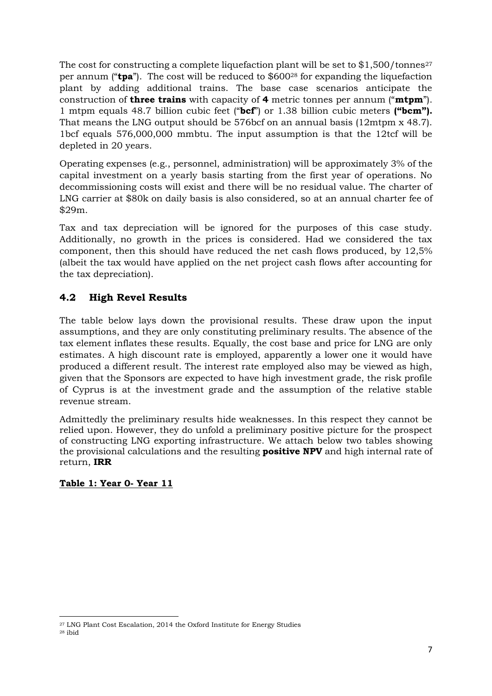The cost for constructing a complete liquefaction plant will be set to  $$1,500/tonnes<sup>27</sup>$ per annum ("**tpa**"). The cost will be reduced to \$600<sup>28</sup> for expanding the liquefaction plant by adding additional trains. The base case scenarios anticipate the construction of **three trains** with capacity of **4** metric tonnes per annum ("**mtpm**"). 1 mtpm equals 48.7 billion cubic feet ("**bcf**") or 1.38 billion cubic meters **("bcm").** That means the LNG output should be 576bcf on an annual basis (12mtpm x 48.7). 1bcf equals 576,000,000 mmbtu. The input assumption is that the 12tcf will be depleted in 20 years.

Operating expenses (e.g., personnel, administration) will be approximately 3% of the capital investment on a yearly basis starting from the first year of operations. No decommissioning costs will exist and there will be no residual value. The charter of LNG carrier at \$80k on daily basis is also considered, so at an annual charter fee of \$29m.

Tax and tax depreciation will be ignored for the purposes of this case study. Additionally, no growth in the prices is considered. Had we considered the tax component, then this should have reduced the net cash flows produced, by 12,5% (albeit the tax would have applied on the net project cash flows after accounting for the tax depreciation).

### **4.2 High Revel Results**

The table below lays down the provisional results. These draw upon the input assumptions, and they are only constituting preliminary results. The absence of the tax element inflates these results. Equally, the cost base and price for LNG are only estimates. A high discount rate is employed, apparently a lower one it would have produced a different result. The interest rate employed also may be viewed as high, given that the Sponsors are expected to have high investment grade, the risk profile of Cyprus is at the investment grade and the assumption of the relative stable revenue stream.

Admittedly the preliminary results hide weaknesses. In this respect they cannot be relied upon. However, they do unfold a preliminary positive picture for the prospect of constructing LNG exporting infrastructure. We attach below two tables showing the provisional calculations and the resulting **positive NPV** and high internal rate of return, **IRR**

### **Table 1: Year 0- Year 11**

<sup>27</sup> LNG Plant Cost Escalation, 2014 the Oxford Institute for Energy Studies

<sup>28</sup> ibid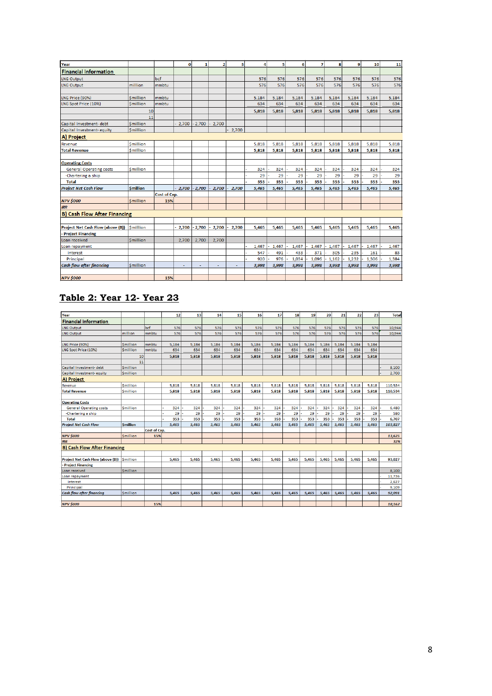| Year                                |                 |                     | $\bf{0}$ |                | 2     | з     | 4     | 5     | 6     | 7     | 8     | 9     | 10    | 11    |
|-------------------------------------|-----------------|---------------------|----------|----------------|-------|-------|-------|-------|-------|-------|-------|-------|-------|-------|
| <b>Financial information</b>        |                 |                     |          |                |       |       |       |       |       |       |       |       |       |       |
| LNG Output                          |                 | bcf                 |          |                |       |       | 576   | 576   | 576   | 576   | 576   | 576   | 576   | 576   |
| <b>LNG Output</b>                   | million         | mmbtu               |          |                |       |       | 576   | 576   | 576   | 576   | 576   | 576   | 576   | 576   |
|                                     |                 |                     |          |                |       |       |       |       |       |       |       |       |       |       |
| LNG Price (90%)                     | <b>Smillion</b> | mmbtu               |          |                |       |       | 5,184 | 5.184 | 5,184 | 5,184 | 5,184 | 5,184 | 5.184 | 5,184 |
| LNG Spot Price (10%)                | <b>Smillion</b> | mmbtu               |          |                |       |       | 634   | 634   | 634   | 634   | 634   | 634   | 634   | 634   |
|                                     | 10              |                     |          |                |       |       | 5,818 | 5.818 | 5.818 | 5,818 | 5.818 | 5.818 | 5.818 | 5,818 |
|                                     | 11              |                     |          |                |       |       |       |       |       |       |       |       |       |       |
| Capital Investment- debt            | <b>Smillion</b> |                     | 2,700    | $-2,700$       | 2,700 |       |       |       |       |       |       |       |       |       |
| Capital Investment-equity           | <b>Smillion</b> |                     |          |                |       | 2,700 |       |       |       |       |       |       |       |       |
| A) Project                          |                 |                     |          |                |       |       |       |       |       |       |       |       |       |       |
| Revenue                             | <b>Smillion</b> |                     |          |                |       |       | 5.818 | 5.818 | 5.818 | 5.818 | 5.818 | 5.818 | 5.818 | 5,818 |
| <b>Total Revenue</b>                | <b>Smillion</b> |                     |          |                |       |       | 5,818 | 5,818 | 5,818 | 5,818 | 5,818 | 5,818 | 5,818 | 5,818 |
|                                     |                 |                     |          |                |       |       |       |       |       |       |       |       |       |       |
| <b>Operating Costs</b>              |                 |                     |          |                |       |       |       |       |       |       |       |       |       |       |
| <b>General Operating costs</b>      | <b>Smillion</b> |                     |          |                |       |       | 324   | 324   | 324   | 324   | 324   | 324   | 324   | 324   |
| -Chartering a ship                  |                 |                     |          |                |       |       | 29    | 29    | 29    | 29    | 29    | 29    | 29    | 29    |
| <b>Total</b>                        |                 |                     |          |                |       |       | 353   | 353   | 353   | 353   | 353   | 353   | 353   | 353   |
| <b>Project Net Cash Flow</b>        | <b>Smillion</b> |                     | 2,700    | $-2,700$       | 2,700 | 2,700 | 5,465 | 5,465 | 5,465 | 5,465 | 5,465 | 5,465 | 5,465 | 5,465 |
|                                     |                 | <b>Cost of Cap.</b> |          |                |       |       |       |       |       |       |       |       |       |       |
| <b>NPV \$000</b>                    | <b>Smillion</b> | 15%                 |          |                |       |       |       |       |       |       |       |       |       |       |
| <b>IRR</b>                          |                 |                     |          |                |       |       |       |       |       |       |       |       |       |       |
| <b>B) Cash Flow After Financing</b> |                 |                     |          |                |       |       |       |       |       |       |       |       |       |       |
|                                     |                 |                     |          |                |       |       |       |       |       |       |       |       |       |       |
| Project Net Cash Flow (above (B))   | Smillion        |                     | 2,700    | $-2,700$       | 2,700 | 2,700 | 5,465 | 5,465 | 5,465 | 5,465 | 5,465 | 5,465 | 5,465 | 5,465 |
| Project Financing                   |                 |                     |          |                |       |       |       |       |       |       |       |       |       |       |
| Loan received                       | <b>Smillion</b> |                     | 2,700    | 2,700          | 2,700 |       |       |       |       |       |       |       |       |       |
| Loan repayment                      |                 |                     |          |                |       |       | 1,467 | 1,467 | 1,467 | 1,467 | 1,467 | 1,467 | 1,467 | 1,467 |
| Interest                            |                 |                     |          |                |       |       | 547   | 491   | 433   | 371   | 305   | 235   | 161   | 83    |
| Principal                           |                 |                     |          |                |       |       | 920   | 976   | 1.034 | 1,096 | 1,162 | 1,232 | 1,306 | 1,384 |
| <b>Cash flow after financing</b>    | <b>Smillion</b> |                     | ÷        | $\overline{a}$ | u.    | ÷,    | 3,998 | 3,998 | 3,998 | 3,998 | 3,998 | 3,998 | 3,998 | 3,998 |
|                                     |                 |                     |          |                |       |       |       |       |       |       |       |       |       |       |
| <b>NPV \$000</b>                    |                 | 15%                 |          |                |       |       |       |       |       |       |       |       |       |       |

# **Table 2: Year 12- Year 23**

| Year                                |                 |                     | 12    | 13    | 14    | 15    | 16    | 17    | 18    | 19    | 20    | 21    | 22    | 23     | <b>Total</b> |
|-------------------------------------|-----------------|---------------------|-------|-------|-------|-------|-------|-------|-------|-------|-------|-------|-------|--------|--------------|
| <b>Financial information</b>        |                 |                     |       |       |       |       |       |       |       |       |       |       |       |        |              |
| <b>LNG Output</b>                   |                 | bcf                 | 576   | 576   | 576   | 576   | 576   | 576   | 576   | 576   | 576   | 576   | 576   | 576    | 10,944       |
| <b>LNG Output</b>                   | million         | mmbtu               | 576   | 576   | 576   | 576   | 576   | 576   | 576   | 576   | 576   | 576   | 576   | 576    | 10,944       |
|                                     |                 |                     |       |       |       |       |       |       |       |       |       |       |       |        |              |
| LNG Price (90%)                     | <b>Smillion</b> | mmbtu               | 5,184 | 5,184 | 5,184 | 5,184 | 5,184 | 5,184 | 5,184 | 5,184 | 5,184 | 5,184 | 5,184 | 5,184  |              |
| LNG Spot Price (10%)                | <b>Smillion</b> | mmbtu               | 634   | 634   | 634   | 634   | 634   | 634   | 634   | 634   | 634   | 634   | 634   | 634    |              |
|                                     | 10              |                     | 5,818 | 5,818 | 5,818 | 5,818 | 5,818 | 5,818 | 5,818 | 5,818 | 5,818 | 5,818 | 5,818 | 5,818  |              |
|                                     | 11              |                     |       |       |       |       |       |       |       |       |       |       |       |        |              |
| Capital Investment- debt            | <b>Smillion</b> |                     |       |       |       |       |       |       |       |       |       |       |       |        | 8,100        |
| Capital Investment-equity           | <b>Smillion</b> |                     |       |       |       |       |       |       |       |       |       |       |       |        | 2,700        |
| A) Project                          |                 |                     |       |       |       |       |       |       |       |       |       |       |       |        |              |
| Revenue                             | <b>Smillion</b> |                     | 5,818 | 5,818 | 5,818 | 5,818 | 5,818 | 5,818 | 5,818 | 5,818 | 5,818 | 5,818 | 5,818 | 5,818  | 110,534      |
| <b>Total Revenue</b>                | <b>Smillion</b> |                     | 5,818 | 5,818 | 5,818 | 5,818 | 5,818 | 5,818 | 5,818 | 5,818 | 5,818 | 5,818 | 5,818 | 5,818  | 110,534      |
|                                     |                 |                     |       |       |       |       |       |       |       |       |       |       |       |        |              |
| <b>Operating Costs</b>              |                 |                     |       |       |       |       |       |       |       |       |       |       |       |        |              |
| <b>General Operating costs</b>      | <b>Smillion</b> |                     | 324   | 324   | 324   | 324   | 324   | 324   | 324   | 324   | 324   | 324   | 324   | 324    | 6,480        |
| -Chartering a ship                  |                 |                     | 29    | 29    | 29    | 29    | 29    | 29    | 29    | 29    | 29    | 29    | 29    | 29     | 580          |
| <b>Total</b>                        |                 |                     | 353   | 353   | 353   | 353   | 353   | 353   | 353   | 353   | 353   | 353   | 353   | 353    | 6,707        |
| <b>Project Net Cash Flow</b>        | <b>Smillion</b> |                     | 5,465 | 5,465 | 5,465 | 5,465 | 5,465 | 5,465 | 5,465 | 5,465 | 5,465 | 5,465 | 5,465 | 5,465  | 103,827      |
|                                     |                 | <b>Cost of Cap.</b> |       |       |       |       |       |       |       |       |       |       |       |        |              |
| <b>NPV \$000</b>                    | <b>Smillion</b> | 15%                 |       |       |       |       |       |       |       |       |       |       |       |        | 13,625       |
| <b>IRR</b>                          |                 |                     |       |       |       |       |       |       |       |       |       |       |       |        | 32%          |
| <b>B) Cash Flow After Financing</b> |                 |                     |       |       |       |       |       |       |       |       |       |       |       |        |              |
|                                     |                 |                     |       |       |       |       |       |       |       |       |       |       |       |        |              |
| Project Net Cash Flow (above (B))   | <b>Smillion</b> |                     | 5,465 | 5.465 | 5,465 | 5,465 | 5,465 | 5,465 | 5,465 | 5,465 | 5,465 | 5,465 | 5,465 | 5,465  | 93,027       |
| - Project Financing                 |                 |                     |       |       |       |       |       |       |       |       |       |       |       |        |              |
| Loan received                       | <b>Smillion</b> |                     |       |       |       |       |       |       |       |       |       |       |       |        | 8.100        |
| Loan repayment                      |                 |                     |       |       |       |       |       |       |       |       |       |       |       |        | 11,736       |
| Interest                            |                 |                     |       |       |       |       |       |       |       |       |       |       |       |        | 2,627        |
| Principal                           |                 |                     |       |       |       |       |       |       |       |       |       |       |       |        | 9.109        |
| <b>Cash flow after financing</b>    | Smillion        |                     | 5,465 | 5,465 | 5,465 | 5,465 | 5,465 | 5,465 | 5,465 | 5,465 | 5,465 | 5,465 | 5,465 | 5,465  | 92,091       |
|                                     |                 |                     |       |       |       |       |       |       |       |       |       |       |       |        |              |
| <b>NPV \$000</b>                    | 15%             |                     |       |       |       |       |       |       |       |       |       |       |       | 18,162 |              |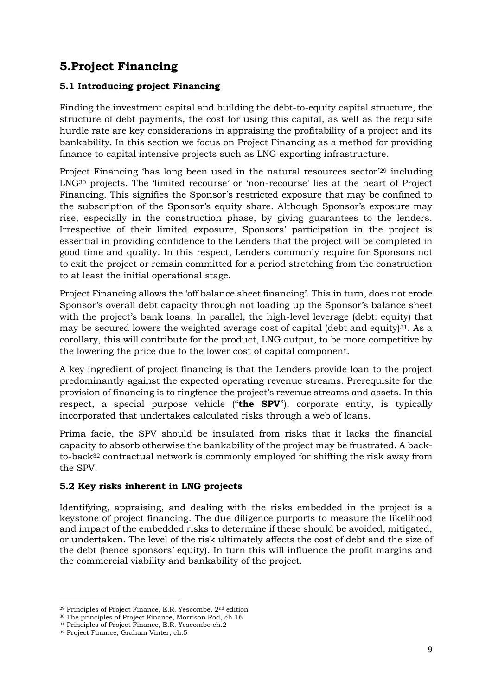# **5.Project Financing**

#### **5.1 Introducing project Financing**

Finding the investment capital and building the debt-to-equity capital structure, the structure of debt payments, the cost for using this capital, as well as the requisite hurdle rate are key considerations in appraising the profitability of a project and its bankability. In this section we focus on Project Financing as a method for providing finance to capital intensive projects such as LNG exporting infrastructure.

Project Financing 'has long been used in the natural resources sector'<sup>29</sup> including LNG<sup>30</sup> projects. The 'limited recourse' or 'non-recourse' lies at the heart of Project Financing. This signifies the Sponsor's restricted exposure that may be confined to the subscription of the Sponsor's equity share. Although Sponsor's exposure may rise, especially in the construction phase, by giving guarantees to the lenders. Irrespective of their limited exposure, Sponsors' participation in the project is essential in providing confidence to the Lenders that the project will be completed in good time and quality. In this respect, Lenders commonly require for Sponsors not to exit the project or remain committed for a period stretching from the construction to at least the initial operational stage.

Project Financing allows the 'off balance sheet financing'. This in turn, does not erode Sponsor's overall debt capacity through not loading up the Sponsor's balance sheet with the project's bank loans. In parallel, the high-level leverage (debt: equity) that may be secured lowers the weighted average cost of capital (debt and equity) $31$ . As a corollary, this will contribute for the product, LNG output, to be more competitive by the lowering the price due to the lower cost of capital component.

A key ingredient of project financing is that the Lenders provide loan to the project predominantly against the expected operating revenue streams. Prerequisite for the provision of financing is to ringfence the project's revenue streams and assets. In this respect, a special purpose vehicle ("**the SPV**"), corporate entity, is typically incorporated that undertakes calculated risks through a web of loans.

Prima facie, the SPV should be insulated from risks that it lacks the financial capacity to absorb otherwise the bankability of the project may be frustrated. A backto-back<sup>32</sup> contractual network is commonly employed for shifting the risk away from the SPV.

#### **5.2 Key risks inherent in LNG projects**

Identifying, appraising, and dealing with the risks embedded in the project is a keystone of project financing. The due diligence purports to measure the likelihood and impact of the embedded risks to determine if these should be avoided, mitigated, or undertaken. The level of the risk ultimately affects the cost of debt and the size of the debt (hence sponsors' equity). In turn this will influence the profit margins and the commercial viability and bankability of the project.

<sup>29</sup> Principles of Project Finance, E.R. Yescombe, 2nd edition

<sup>30</sup> The principles of Project Finance, Morrison Rod, ch.16

<sup>31</sup> Principles of Project Finance, E.R. Yescombe ch.2

<sup>32</sup> Project Finance, Graham Vinter, ch.5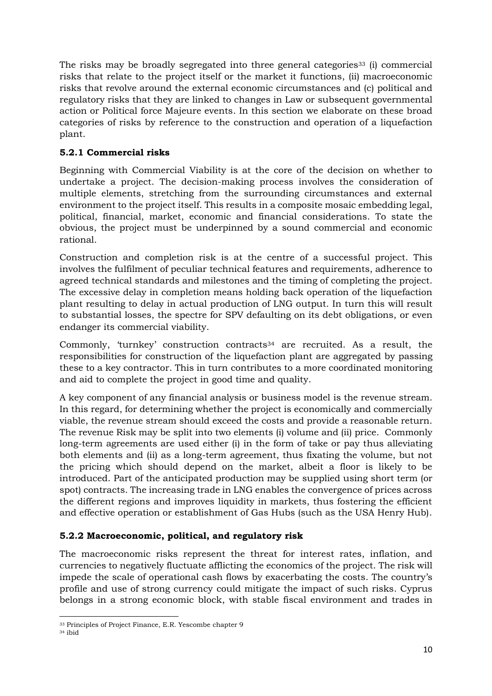The risks may be broadly segregated into three general categories<sup>33</sup> (i) commercial risks that relate to the project itself or the market it functions, (ii) macroeconomic risks that revolve around the external economic circumstances and (c) political and regulatory risks that they are linked to changes in Law or subsequent governmental action or Political force Majeure events. In this section we elaborate on these broad categories of risks by reference to the construction and operation of a liquefaction plant.

#### **5.2.1 Commercial risks**

Beginning with Commercial Viability is at the core of the decision on whether to undertake a project. The decision-making process involves the consideration of multiple elements, stretching from the surrounding circumstances and external environment to the project itself. This results in a composite mosaic embedding legal, political, financial, market, economic and financial considerations. To state the obvious, the project must be underpinned by a sound commercial and economic rational.

Construction and completion risk is at the centre of a successful project. This involves the fulfilment of peculiar technical features and requirements, adherence to agreed technical standards and milestones and the timing of completing the project. The excessive delay in completion means holding back operation of the liquefaction plant resulting to delay in actual production of LNG output. In turn this will result to substantial losses, the spectre for SPV defaulting on its debt obligations, or even endanger its commercial viability.

Commonly, 'turnkey' construction contracts<sup>34</sup> are recruited. As a result, the responsibilities for construction of the liquefaction plant are aggregated by passing these to a key contractor. This in turn contributes to a more coordinated monitoring and aid to complete the project in good time and quality.

A key component of any financial analysis or business model is the revenue stream. In this regard, for determining whether the project is economically and commercially viable, the revenue stream should exceed the costs and provide a reasonable return. The revenue Risk may be split into two elements (i) volume and (ii) price. Commonly long-term agreements are used either (i) in the form of take or pay thus alleviating both elements and (ii) as a long-term agreement, thus fixating the volume, but not the pricing which should depend on the market, albeit a floor is likely to be introduced. Part of the anticipated production may be supplied using short term (or spot) contracts. The increasing trade in LNG enables the convergence of prices across the different regions and improves liquidity in markets, thus fostering the efficient and effective operation or establishment of Gas Hubs (such as the USA Henry Hub).

#### **5.2.2 Macroeconomic, political, and regulatory risk**

The macroeconomic risks represent the threat for interest rates, inflation, and currencies to negatively fluctuate afflicting the economics of the project. The risk will impede the scale of operational cash flows by exacerbating the costs. The country's profile and use of strong currency could mitigate the impact of such risks. Cyprus belongs in a strong economic block, with stable fiscal environment and trades in

<sup>33</sup> Principles of Project Finance, E.R. Yescombe chapter 9

<sup>34</sup> ibid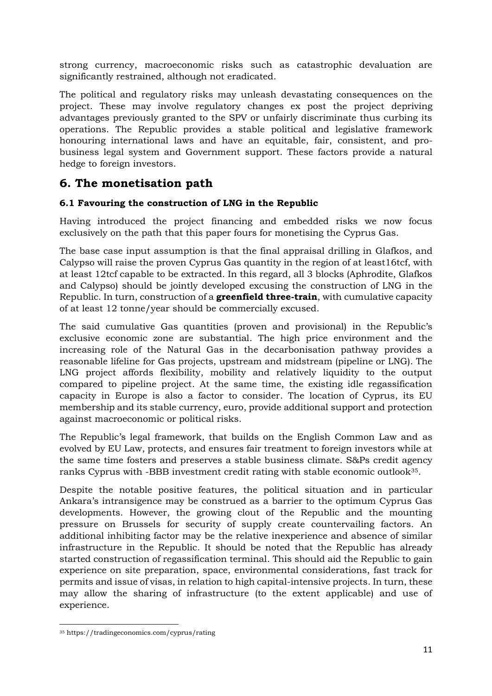strong currency, macroeconomic risks such as catastrophic devaluation are significantly restrained, although not eradicated.

The political and regulatory risks may unleash devastating consequences on the project. These may involve regulatory changes ex post the project depriving advantages previously granted to the SPV or unfairly discriminate thus curbing its operations. The Republic provides a stable political and legislative framework honouring international laws and have an equitable, fair, consistent, and probusiness legal system and Government support. These factors provide a natural hedge to foreign investors.

# **6. The monetisation path**

#### **6.1 Favouring the construction of LNG in the Republic**

Having introduced the project financing and embedded risks we now focus exclusively on the path that this paper fours for monetising the Cyprus Gas.

The base case input assumption is that the final appraisal drilling in Glafkos, and Calypso will raise the proven Cyprus Gas quantity in the region of at least16tcf, with at least 12tcf capable to be extracted. In this regard, all 3 blocks (Aphrodite, Glafkos and Calypso) should be jointly developed excusing the construction of LNG in the Republic. In turn, construction of a **greenfield three-train**, with cumulative capacity of at least 12 tonne/year should be commercially excused.

The said cumulative Gas quantities (proven and provisional) in the Republic's exclusive economic zone are substantial. The high price environment and the increasing role of the Natural Gas in the decarbonisation pathway provides a reasonable lifeline for Gas projects, upstream and midstream (pipeline or LNG). The LNG project affords flexibility, mobility and relatively liquidity to the output compared to pipeline project. At the same time, the existing idle regassification capacity in Europe is also a factor to consider. The location of Cyprus, its EU membership and its stable currency, euro, provide additional support and protection against macroeconomic or political risks.

The Republic's legal framework, that builds on the English Common Law and as evolved by EU Law, protects, and ensures fair treatment to foreign investors while at the same time fosters and preserves a stable business climate. S&Ps credit agency ranks Cyprus with -BBB investment credit rating with stable economic outlook<sup>35</sup>.

Despite the notable positive features, the political situation and in particular Ankara's intransigence may be construed as a barrier to the optimum Cyprus Gas developments. However, the growing clout of the Republic and the mounting pressure on Brussels for security of supply create countervailing factors. An additional inhibiting factor may be the relative inexperience and absence of similar infrastructure in the Republic. It should be noted that the Republic has already started construction of regassification terminal. This should aid the Republic to gain experience on site preparation, space, environmental considerations, fast track for permits and issue of visas, in relation to high capital-intensive projects. In turn, these may allow the sharing of infrastructure (to the extent applicable) and use of experience.

<sup>35</sup> https://tradingeconomics.com/cyprus/rating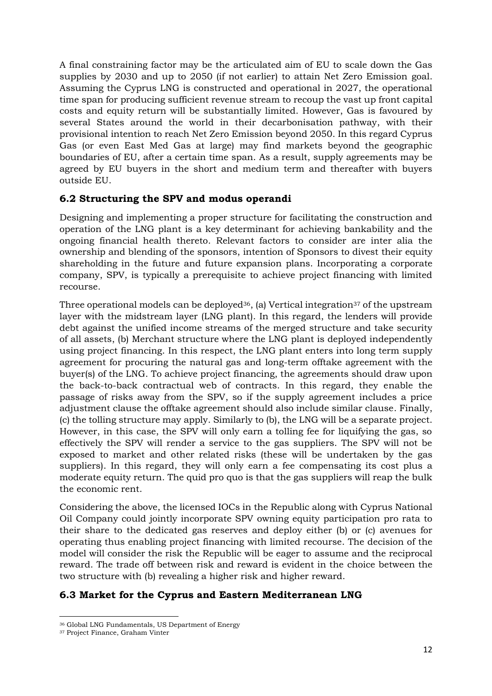A final constraining factor may be the articulated aim of EU to scale down the Gas supplies by 2030 and up to 2050 (if not earlier) to attain Net Zero Emission goal. Assuming the Cyprus LNG is constructed and operational in 2027, the operational time span for producing sufficient revenue stream to recoup the vast up front capital costs and equity return will be substantially limited. However, Gas is favoured by several States around the world in their decarbonisation pathway, with their provisional intention to reach Net Zero Emission beyond 2050. In this regard Cyprus Gas (or even East Med Gas at large) may find markets beyond the geographic boundaries of EU, after a certain time span. As a result, supply agreements may be agreed by EU buyers in the short and medium term and thereafter with buyers outside EU.

#### **6.2 Structuring the SPV and modus operandi**

Designing and implementing a proper structure for facilitating the construction and operation of the LNG plant is a key determinant for achieving bankability and the ongoing financial health thereto. Relevant factors to consider are inter alia the ownership and blending of the sponsors, intention of Sponsors to divest their equity shareholding in the future and future expansion plans. Incorporating a corporate company, SPV, is typically a prerequisite to achieve project financing with limited recourse.

Three operational models can be deployed<sup>36</sup>, (a) Vertical integration<sup>37</sup> of the upstream layer with the midstream layer (LNG plant). In this regard, the lenders will provide debt against the unified income streams of the merged structure and take security of all assets, (b) Merchant structure where the LNG plant is deployed independently using project financing. In this respect, the LNG plant enters into long term supply agreement for procuring the natural gas and long-term offtake agreement with the buyer(s) of the LNG. To achieve project financing, the agreements should draw upon the back-to-back contractual web of contracts. In this regard, they enable the passage of risks away from the SPV, so if the supply agreement includes a price adjustment clause the offtake agreement should also include similar clause. Finally, (c) the tolling structure may apply. Similarly to (b), the LNG will be a separate project. However, in this case, the SPV will only earn a tolling fee for liquifying the gas, so effectively the SPV will render a service to the gas suppliers. The SPV will not be exposed to market and other related risks (these will be undertaken by the gas suppliers). In this regard, they will only earn a fee compensating its cost plus a moderate equity return. The quid pro quo is that the gas suppliers will reap the bulk the economic rent.

Considering the above, the licensed IOCs in the Republic along with Cyprus National Oil Company could jointly incorporate SPV owning equity participation pro rata to their share to the dedicated gas reserves and deploy either (b) or (c) avenues for operating thus enabling project financing with limited recourse. The decision of the model will consider the risk the Republic will be eager to assume and the reciprocal reward. The trade off between risk and reward is evident in the choice between the two structure with (b) revealing a higher risk and higher reward.

### **6.3 Market for the Cyprus and Eastern Mediterranean LNG**

<sup>36</sup> Global LNG Fundamentals, US Department of Energy

<sup>37</sup> Project Finance, Graham Vinter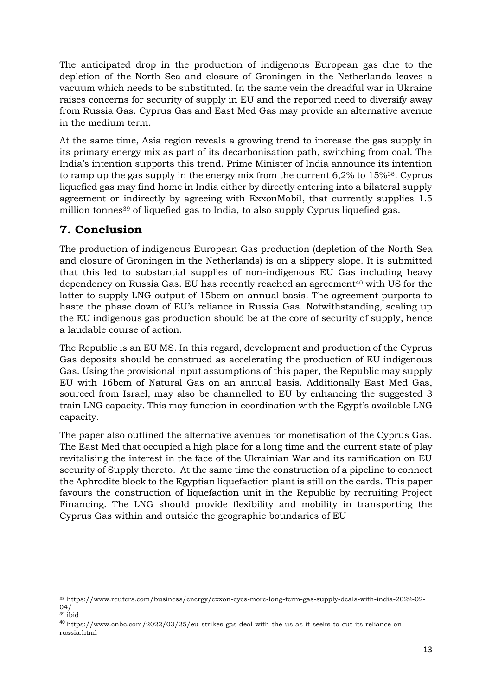The anticipated drop in the production of indigenous European gas due to the depletion of the North Sea and closure of Groningen in the Netherlands leaves a vacuum which needs to be substituted. In the same vein the dreadful war in Ukraine raises concerns for security of supply in EU and the reported need to diversify away from Russia Gas. Cyprus Gas and East Med Gas may provide an alternative avenue in the medium term.

At the same time, Asia region reveals a growing trend to increase the gas supply in its primary energy mix as part of its decarbonisation path, switching from coal. The India's intention supports this trend. Prime Minister of India announce its intention to ramp up the gas supply in the energy mix from the current 6,2% to 15%38. Cyprus liquefied gas may find home in India either by directly entering into a bilateral supply agreement or indirectly by agreeing with ExxonMobil, that currently supplies 1.5 million tonnes<sup>39</sup> of liquefied gas to India, to also supply Cyprus liquefied gas.

# **7. Conclusion**

The production of indigenous European Gas production (depletion of the North Sea and closure of Groningen in the Netherlands) is on a slippery slope. It is submitted that this led to substantial supplies of non-indigenous EU Gas including heavy dependency on Russia Gas. EU has recently reached an agreement<sup>40</sup> with US for the latter to supply LNG output of 15bcm on annual basis. The agreement purports to haste the phase down of EU's reliance in Russia Gas. Notwithstanding, scaling up the EU indigenous gas production should be at the core of security of supply, hence a laudable course of action.

The Republic is an EU MS. In this regard, development and production of the Cyprus Gas deposits should be construed as accelerating the production of EU indigenous Gas. Using the provisional input assumptions of this paper, the Republic may supply EU with 16bcm of Natural Gas on an annual basis. Additionally East Med Gas, sourced from Israel, may also be channelled to EU by enhancing the suggested 3 train LNG capacity. This may function in coordination with the Egypt's available LNG capacity.

The paper also outlined the alternative avenues for monetisation of the Cyprus Gas. The East Med that occupied a high place for a long time and the current state of play revitalising the interest in the face of the Ukrainian War and its ramification on EU security of Supply thereto. At the same time the construction of a pipeline to connect the Aphrodite block to the Egyptian liquefaction plant is still on the cards. This paper favours the construction of liquefaction unit in the Republic by recruiting Project Financing. The LNG should provide flexibility and mobility in transporting the Cyprus Gas within and outside the geographic boundaries of EU

<sup>38</sup> https://www.reuters.com/business/energy/exxon-eyes-more-long-term-gas-supply-deals-with-india-2022-02- 04/  $39$  ibid

<sup>40</sup> https://www.cnbc.com/2022/03/25/eu-strikes-gas-deal-with-the-us-as-it-seeks-to-cut-its-reliance-onrussia.html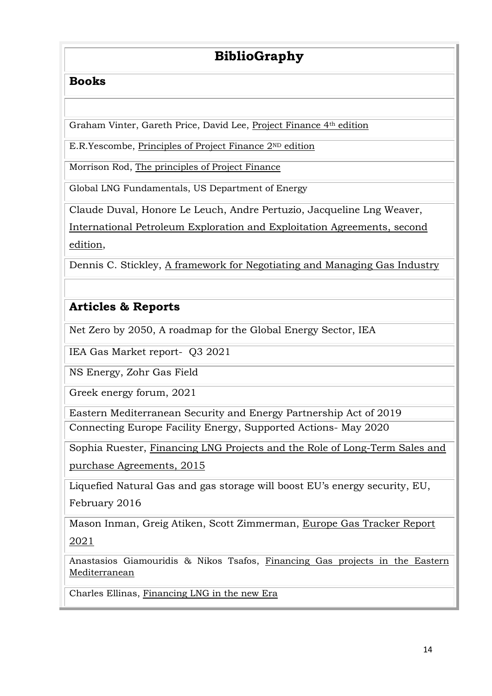# **BiblioGraphy**

### **Books**

Graham Vinter, Gareth Price, David Lee, Project Finance 4th edition

E.R.Yescombe, Principles of Project Finance 2ND edition

Morrison Rod, The principles of Project Finance

Global LNG Fundamentals, US Department of Energy

Claude Duval, Honore Le Leuch, Andre Pertuzio, Jacqueline Lng Weaver,

International Petroleum Exploration and Exploitation Agreements, second edition,

Dennis C. Stickley, A framework for Negotiating and Managing Gas Industry

# **Articles & Reports**

Net Zero by 2050, A roadmap for the Global Energy Sector, IEA

IEA Gas Market report- Q3 2021

NS Energy, Zohr Gas Field

Greek energy forum, 2021

Eastern Mediterranean Security and Energy Partnership Act of 2019 Connecting Europe Facility Energy, Supported Actions- May 2020

Sophia Ruester, Financing LNG Projects and the Role of Long-Term Sales and purchase Agreements, 2015

Liquefied Natural Gas and gas storage will boost EU's energy security, EU, February 2016

Mason Inman, Greig Atiken, Scott Zimmerman, Europe Gas Tracker Report 2021

Anastasios Giamouridis & Nikos Tsafos, Financing Gas projects in the Eastern Mediterranean

Charles Ellinas, Financing LNG in the new Era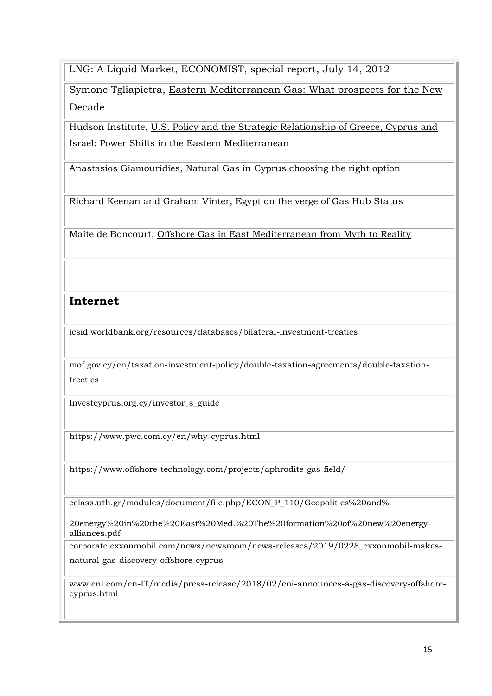LNG: A Liquid Market, ECONOMIST, special report, July 14, 2012

Symone Tgliapietra, Eastern Mediterranean Gas: What prospects for the New Decade

Hudson Institute, U.S. Policy and the Strategic Relationship of Greece, Cyprus and Israel: Power Shifts in the Eastern Mediterranean

Anastasios Giamouridies, Natural Gas in Cyprus choosing the right option

Richard Keenan and Graham Vinter, Egypt on the verge of Gas Hub Status

Maite de Boncourt, Offshore Gas in East Mediterranean from Myth to Reality

### **Internet**

icsid.worldbank.org/resources/databases/bilateral-investment-treaties

mof.gov.cy/en/taxation-investment-policy/double-taxation-agreements/double-taxationtreeties

Investcyprus.org.cy/investor\_s\_guide

https://www.pwc.com.cy/en/why-cyprus.html

https://www.offshore-technology.com/projects/aphrodite-gas-field/

eclass.uth.gr/modules/document/file.php/ECON\_P\_110/Geopolitics%20and%

20energy%20in%20the%20East%20Med.%20The%20formation%20of%20new%20energyalliances.pdf

corporate.exxonmobil.com/news/newsroom/news-releases/2019/0228\_exxonmobil-makes-

natural-gas-discovery-offshore-cyprus

www.eni.com/en-IT/media/press-release/2018/02/eni-announces-a-gas-discovery-offshorecyprus.html